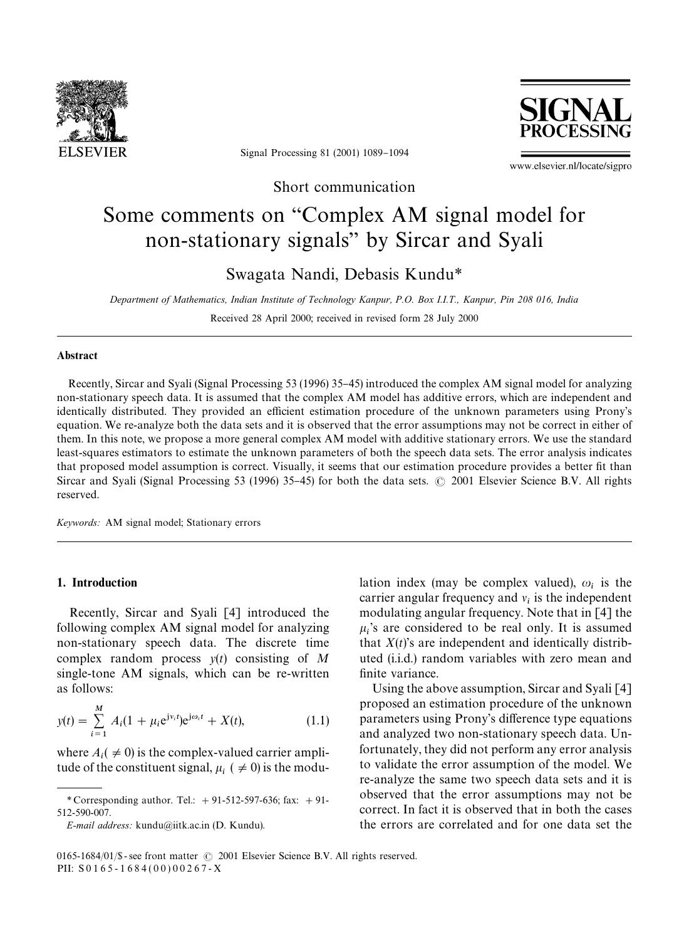

Signal Processing 81 (2001) 1089-1094



www.elsevier.nl/locate/sigpro

Short communication

# Some comments on "Complex AM signal model for non-stationary signals" by Sircar and Syali

Swagata Nandi, Debasis Kundu*\**

*Department of Mathematics, Indian Institute of Technology Kanpur, P.O. Box I.I.T., Kanpur, Pin 208016, India* Received 28 April 2000; received in revised form 28 July 2000

#### Abstract

Recently, Sircar and Syali (Signal Processing 53 (1996) 35-45) introduced the complex AM signal model for analyzing non-stationary speech data. It is assumed that the complex AM model has additive errors, which are independent and identically distributed. They provided an efficient estimation procedure of the unknown parameters using Prony's equation. We re-analyze both the data sets and it is observed that the error assumptions may not be correct in either of them. In this note, we propose a more general complex AM model with additive stationary errors. We use the standard least-squares estimators to estimate the unknown parameters of both the speech data sets. The error analysis indicates that proposed model assumption is correct. Visually, it seems that our estimation procedure provides a better fit than Sircar and Syali (Signal Processing 53 (1996) 35–45) for both the data sets.  $\odot$  2001 Elsevier Science B.V. All rights reserved.

*Keywords:* AM signal model; Stationary errors

## 1. Introduction

Recently, Sircar and Syali [4] introduced the following complex AM signal model for analyzing non-stationary speech data. The discrete time complex random process *y*(*t*) consisting of *M* single-tone AM signals, which can be re-written as follows:

$$
y(t) = \sum_{i=1}^{M} A_i (1 + \mu_i e^{j v_i t}) e^{j \omega_i t} + X(t),
$$
 (1.1)

where  $A_i$  ( $\neq$  0) is the complex-valued carrier amplitude of the constituent signal,  $\mu_i$  (  $\neq$  0) is the modu-

*E-mail address:* kundu@iitk.ac.in (D. Kundu).

lation index (may be complex valued),  $\omega_i$  is the carrier angular frequency and  $v_i$  is the independent modulating angular frequency. Note that in [4] the  $\mu_i$ 's are considered to be real only. It is assumed that  $X(t)$ 's are independent and identically distributed (i.i.d.) random variables with zero mean and finite variance.

Using the above assumption, Sircar and Syali [4] proposed an estimation procedure of the unknown parameters using Prony's difference type equations and analyzed two non-stationary speech data. Unfortunately, they did not perform any error analysis to validate the error assumption of the model. We re-analyze the same two speech data sets and it is observed that the error assumptions may not be correct. In fact it is observed that in both the cases the errors are correlated and for one data set the

*<sup>\*</sup>* Corresponding author. Tel.: #91-512-597-636; fax: #91- 512-590-007.

<sup>0165-1684/01/\$ -</sup> see front matter  $\odot$  2001 Elsevier Science B.V. All rights reserved. PII:  $S0165 - 1684(00)00267 - X$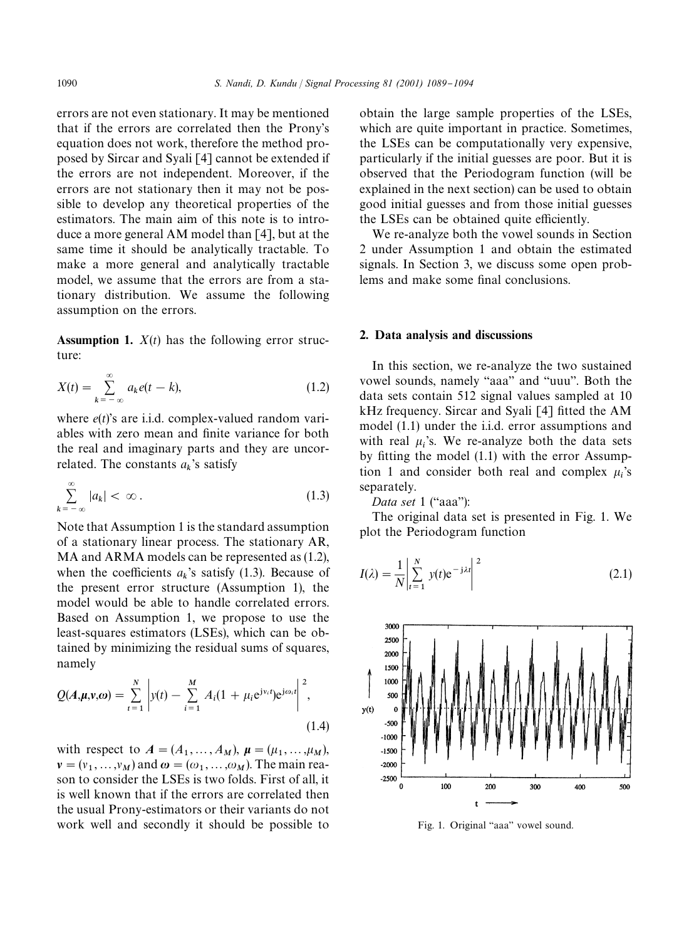errors are not even stationary. It may be mentioned that if the errors are correlated then the Prony's equation does not work, therefore the method proposed by Sircar and Syali [4] cannot be extended if the errors are not independent. Moreover, if the errors are not stationary then it may not be possible to develop any theoretical properties of the estimators. The main aim of this note is to introduce a more general AM model than [4], but at the same time it should be analytically tractable. To make a more general and analytically tractable model, we assume that the errors are from a stationary distribution. We assume the following assumption on the errors.

**Assumption 1.**  $X(t)$  has the following error structure:

$$
X(t) = \sum_{k=-\infty}^{\infty} a_k e(t - k),
$$
\n(1.2)

where *e*(*t*)'s are i.i.d. complex-valued random variables with zero mean and finite variance for both the real and imaginary parts and they are uncorrelated. The constants  $a_k$ 's satisfy

$$
\sum_{k=-\infty}^{\infty} |a_k| < \infty \,. \tag{1.3}
$$

Note that Assumption 1 is the standard assumption of a stationary linear process. The stationary AR, MA and ARMA models can be represented as  $(1.2)$ , when the coefficients  $a_k$ 's satisfy (1.3). Because of the present error structure (Assumption 1), the model would be able to handle correlated errors. Based on Assumption 1, we propose to use the least-squares estimators (LSEs), which can be obtained by minimizing the residual sums of squares, namely

$$
Q(A, \mu, v, \omega) = \sum_{t=1}^{N} \left| y(t) - \sum_{i=1}^{M} A_i (1 + \mu_i e^{j v_i t}) e^{j \omega_i t} \right|^2,
$$
\n(1.4)

with respect to  $A = (A_1, ..., A_M)$ ,  $\mu = (\mu_1, ..., \mu_M)$ ,  $\nu = (\nu_1, \dots, \nu_M)$  and  $\omega = (\omega_1, \dots, \omega_M)$ . The main rea- son to consider the LSEs is two folds. First of all, it is well known that if the errors are correlated then the usual Prony-estimators or their variants do not work well and secondly it should be possible to obtain the large sample properties of the LSEs, which are quite important in practice. Sometimes, the LSEs can be computationally very expensive, particularly if the initial guesses are poor. But it is observed that the Periodogram function (will be explained in the next section) can be used to obtain good initial guesses and from those initial guesses the LSEs can be obtained quite efficiently.

We re-analyze both the vowel sounds in Section 2 under Assumption 1 and obtain the estimated signals. In Section 3, we discuss some open problems and make some final conclusions.

#### 2. Data analysis and discussions

In this section, we re-analyze the two sustained vowel sounds, namely "aaa" and "uuu". Both the data sets contain 512 signal values sampled at 10 kHz frequency. Sircar and Syali  $[4]$  fitted the AM model (1.1) under the i.i.d. error assumptions and with real  $\mu_i$ 's. We re-analyze both the data sets by fitting the model (1.1) with the error Assumption 1 and consider both real and complex  $\mu_i$ 's separately.

*Data set* 1 ("aaa"):

The original data set is presented in Fig. 1. We plot the Periodogram function

$$
I(\lambda) = \frac{1}{N} \left| \sum_{t=1}^{N} y(t) e^{-j\lambda t} \right|^2
$$
 (2.1)



Fig. 1. Original "aaa" vowel sound.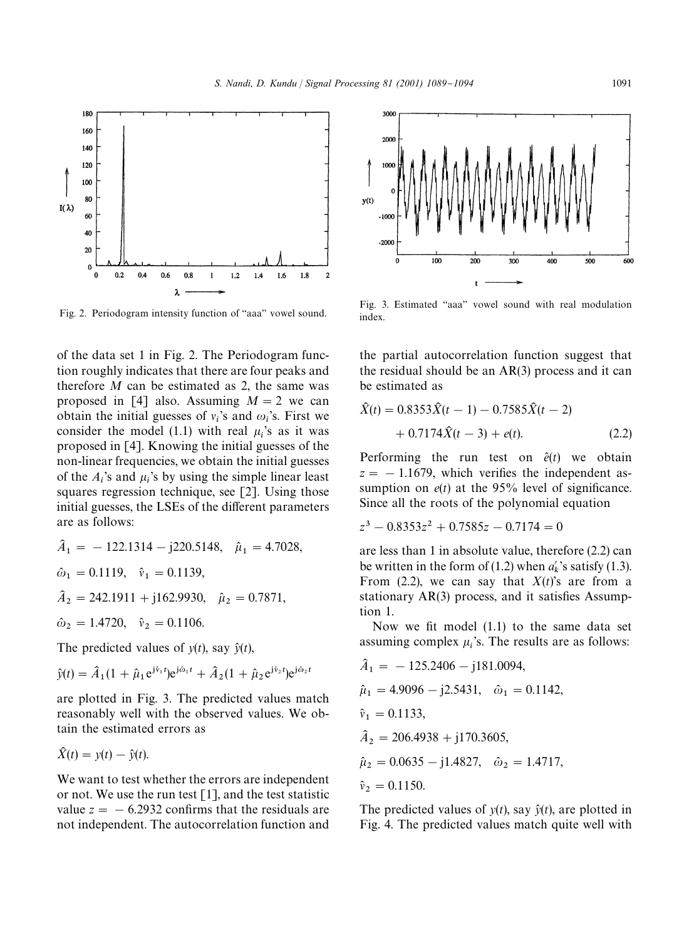

of the data set 1 in Fig. 2. The Periodogram function roughly indicates that there are four peaks and therefore *M* can be estimated as 2, the same was proposed in [4] also. Assuming  $M = 2$  we can obtain the initial guesses of  $v_i$ 's and  $\omega_i$ 's. First we consider the model (1.1) with real  $\mu_i$ 's as it was proposed in [4]. Knowing the initial guesses of the non-linear frequencies, we obtain the initial guesses of the  $A_i$ 's and  $\mu_i$ 's by using the simple linear least squares regression technique, see [2]. Using those initial guesses, the LSEs of the different parameters are as follows:

$$
\begin{aligned}\n\hat{A}_1 &= -122.1314 - j220.5148, \quad \hat{\mu}_1 = 4.7028, \\
\hat{\omega}_1 &= 0.1119, \quad \hat{v}_1 = 0.1139, \\
\hat{A}_2 &= 242.1911 + j162.9930, \quad \hat{\mu}_2 = 0.7871, \\
\hat{\omega}_2 &= 1.4720, \quad \hat{v}_2 = 0.1106.\n\end{aligned}
$$

The predicted values of  $y(t)$ , say  $\hat{y}(t)$ ,

$$
\hat{y}(t) = \hat{A}_1(1 + \hat{\mu}_1 e^{j\hat{v}_1 t}) e^{j\hat{\omega}_1 t} + \hat{A}_2(1 + \hat{\mu}_2 e^{j\hat{v}_2 t}) e^{j\hat{\omega}_2 t}
$$

are plotted in Fig. 3. The predicted values match reasonably well with the observed values. We obtain the estimated errors as

$$
\widehat{X}(t) = y(t) - \widehat{y}(t).
$$

We want to test whether the errors are independent or not. We use the run test  $[1]$ , and the test statistic value  $z = -6.2932$  confirms that the residuals are not independent. The autocorrelation function and



Fig. 2. Periodogram intensity function of "aaa" vowel sound. Fig. 3. Estimated "aaa" vowel sound with real modulation index.

the partial autocorrelation function suggest that the residual should be an AR(3) process and it can be estimated as

$$
\hat{X}(t) = 0.8353\hat{X}(t-1) - 0.7585\hat{X}(t-2) \n+ 0.7174\hat{X}(t-3) + e(t).
$$
\n(2.2)

Performing the run test on  $\hat{e}(t)$  we obtain  $z = -1.1679$ , which verifies the independent assumption on  $e(t)$  at the 95% level of significance. Since all the roots of the polynomial equation

$$
z^3 - 0.8353z^2 + 0.7585z - 0.7174 = 0
$$

are less than 1 in absolute value, therefore (2.2) can be written in the form of (1.2) when  $a'_k$ 's satisfy (1.3). From  $(2.2)$ , we can say that  $X(t)$ 's are from a stationary  $AR(3)$  process, and it satisfies Assumption 1.

Now we fit model  $(1.1)$  to the same data set assuming complex  $\mu_i$ 's. The results are as follows:

$$
\begin{aligned}\n\hat{A}_1 &= -125.2406 - j181.0094, \\
\hat{\mu}_1 &= 4.9096 - j2.5431, \quad \hat{\omega}_1 = 0.1142, \\
\hat{v}_1 &= 0.1133, \\
\hat{A}_2 &= 206.4938 + j170.3605, \\
\hat{\mu}_2 &= 0.0635 - j1.4827, \quad \hat{\omega}_2 = 1.4717, \\
\hat{v}_2 &= 0.1150.\n\end{aligned}
$$

The predicted values of  $y(t)$ , say  $\hat{y}(t)$ , are plotted in Fig. 4. The predicted values match quite well with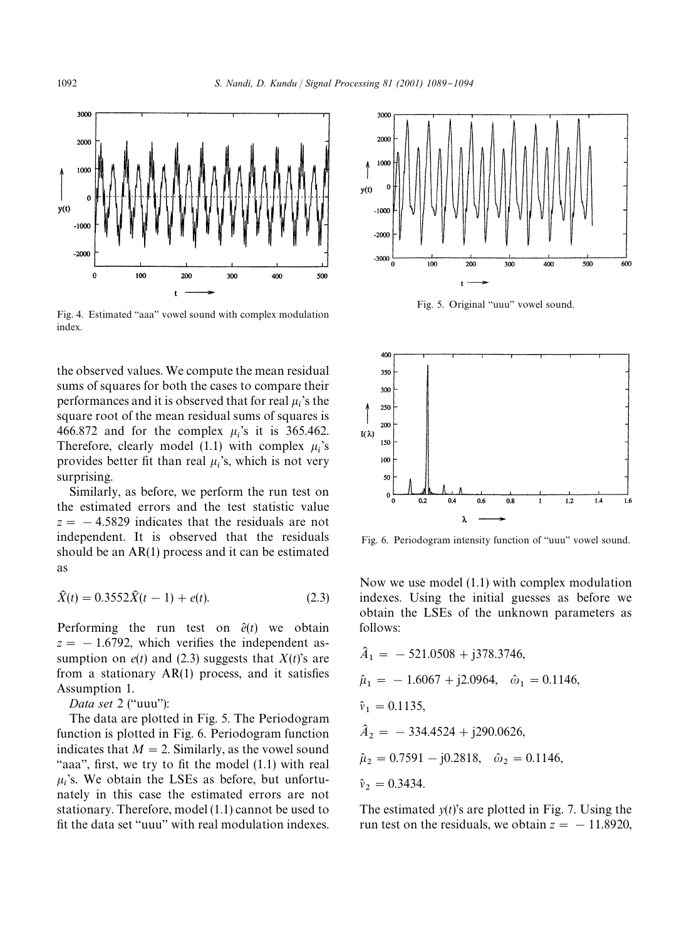

Fig. 4. Estimated "aaa" vowel sound with complex modulation index.

the observed values. We compute the mean residual sums of squares for both the cases to compare their performances and it is observed that for real  $\mu_i$ 's the square root of the mean residual sums of squares is 466.872 and for the complex  $\mu_i$ 's it is 365.462. Therefore, clearly model (1.1) with complex  $\mu_i$ 's provides better fit than real  $\mu_i$ 's, which is not very surprising.

Similarly, as before, we perform the run test on the estimated errors and the test statistic value  $z = -4.5829$  indicates that the residuals are not independent. It is observed that the residuals should be an AR(1) process and it can be estimated as

$$
\hat{X}(t) = 0.3552\hat{X}(t-1) + e(t).
$$
\n(2.3)

Performing the run test on  $\hat{e}(t)$  we obtain  $z = -1.6792$ , which verifies the independent assumption on  $e(t)$  and (2.3) suggests that  $X(t)$ 's are from a stationary  $AR(1)$  process, and it satisfies Assumption 1.

*Data set* 2 ("uuu"):

The data are plotted in Fig. 5. The Periodogram function is plotted in Fig. 6. Periodogram function indicates that  $M = 2$ . Similarly, as the vowel sound "aaa", first, we try to fit the model  $(1.1)$  with real  $\mu_i$ 's. We obtain the LSEs as before, but unfortu nately in this case the estimated errors are not stationary. Therefore, model (1.1) cannot be used to fit the data set "uuu" with real modulation indexes.



Fig. 5. Original "uuu" vowel sound.



Fig. 6. Periodogram intensity function of "uuu" vowel sound.

Now we use model (1.1) with complex modulation indexes. Using the initial guesses as before we obtain the LSEs of the unknown parameters as follows:

$$
\begin{aligned}\n\hat{A}_1 &= -521.0508 + j378.3746, \\
\hat{\mu}_1 &= -1.6067 + j2.0964, \quad \hat{\omega}_1 = 0.1146, \\
\hat{v}_1 &= 0.1135, \\
\hat{A}_2 &= -334.4524 + j290.0626, \\
\hat{\mu}_2 &= 0.7591 - j0.2818, \quad \hat{\omega}_2 = 0.1146, \\
\hat{v}_2 &= 0.3434.\n\end{aligned}
$$

The estimated  $y(t)$ 's are plotted in Fig. 7. Using the run test on the residuals, we obtain  $z = -11.8920$ ,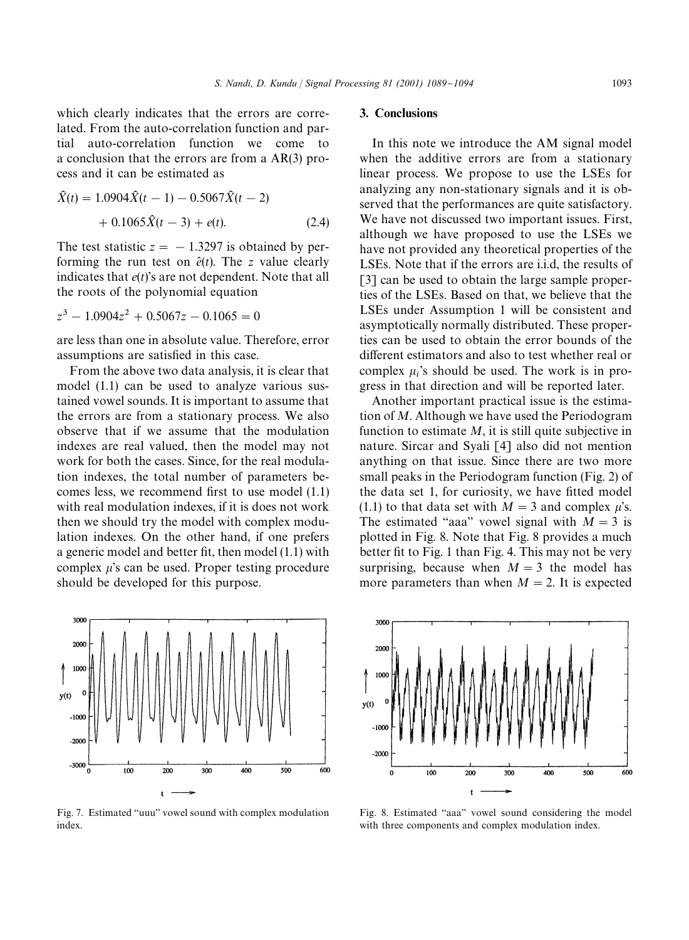which clearly indicates that the errors are correlated. From the auto-correlation function and partial auto-correlation function we come to a conclusion that the errors are from a AR(3) process and it can be estimated as

$$
\hat{X}(t) = 1.0904\hat{X}(t-1) - 0.5067\hat{X}(t-2) \n+ 0.1065\hat{X}(t-3) + e(t).
$$
\n(2.4)

The test statistic  $z = -1.3297$  is obtained by performing the run test on  $\hat{e}(t)$ . The *z* value clearly indicates that *e*(*t*)'s are not dependent. Note that all the roots of the polynomial equation

$$
z^3 - 1.0904z^2 + 0.5067z - 0.1065 = 0
$$

are less than one in absolute value. Therefore, error assumptions are satisfied in this case.

From the above two data analysis, it is clear that model (1.1) can be used to analyze various sustained vowel sounds. It is important to assume that the errors are from a stationary process. We also observe that if we assume that the modulation indexes are real valued, then the model may not work for both the cases. Since, for the real modulation indexes, the total number of parameters becomes less, we recommend first to use model  $(1.1)$ with real modulation indexes, if it is does not work then we should try the model with complex modulation indexes. On the other hand, if one prefers a generic model and better fit, then model  $(1.1)$  with complex  $\mu$ 's can be used. Proper testing procedure should be developed for this purpose.



Fig. 7. Estimated "uuu" vowel sound with complex modulation index.

## 3. Conclusions

In this note we introduce the AM signal model when the additive errors are from a stationary linear process. We propose to use the LSEs for analyzing any non-stationary signals and it is observed that the performances are quite satisfactory. We have not discussed two important issues. First, although we have proposed to use the LSEs we have not provided any theoretical properties of the LSEs. Note that if the errors are i.i.d, the results of [3] can be used to obtain the large sample properties of the LSEs. Based on that, we believe that the LSEs under Assumption 1 will be consistent and asymptotically normally distributed. These properties can be used to obtain the error bounds of the different estimators and also to test whether real or complex  $\mu_i$ 's should be used. The work is in progress in that direction and will be reported later.

Another important practical issue is the estimation of *M*. Although we have used the Periodogram function to estimate  $M$ , it is still quite subjective in nature. Sircar and Syali [4] also did not mention anything on that issue. Since there are two more small peaks in the Periodogram function (Fig. 2) of the data set 1, for curiosity, we have fitted model (1.1) to that data set with  $M = 3$  and complex  $\mu$ 's. The estimated "aaa" vowel signal with  $M = 3$  is plotted in Fig. 8. Note that Fig. 8 provides a much better fit to Fig. 1 than Fig. 4. This may not be very surprising, because when  $M = 3$  the model has more parameters than when  $M = 2$ . It is expected



Fig. 8. Estimated "aaa" vowel sound considering the model with three components and complex modulation index.